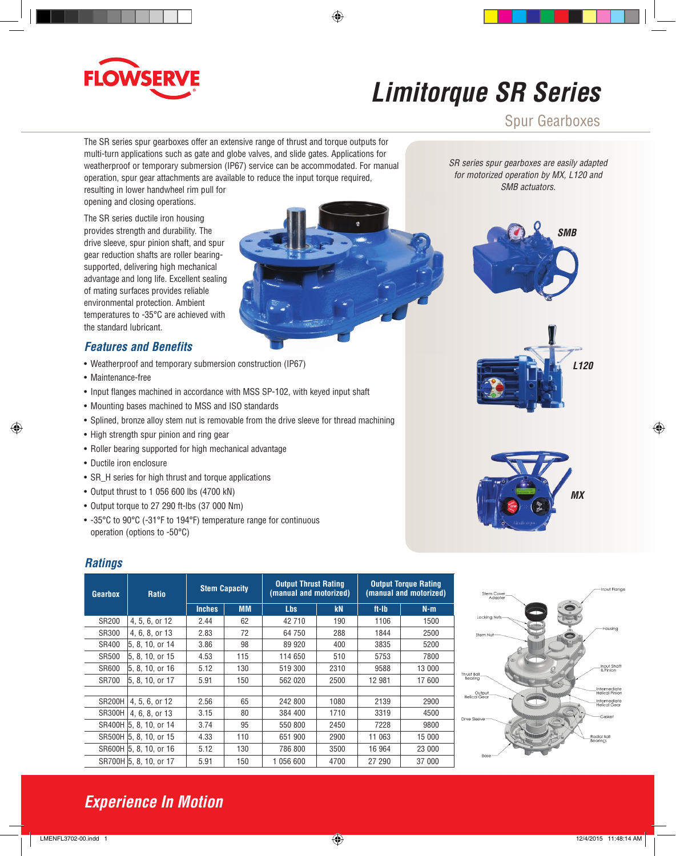

# *Limitorque SR Series*

Spur Gearboxes

The SR series spur gearboxes offer an extensive range of thrust and torque outputs for multi-turn applications such as gate and globe valves, and slide gates. Applications for weatherproof or temporary submersion (IP67) service can be accommodated. For manual operation, spur gear attachments are available to reduce the input torque required,

resulting in lower handwheel rim pull for opening and closing operations.

The SR series ductile iron housing provides strength and durability. The drive sleeve, spur pinion shaft, and spur gear reduction shafts are roller bearingsupported, delivering high mechanical advantage and long life. Excellent sealing of mating surfaces provides reliable environmental protection. Ambient temperatures to -35°C are achieved with the standard lubricant.

### *Features and Benefits*

- Weatherproof and temporary submersion construction (IP67)
- Maintenance-free
- Input flanges machined in accordance with MSS SP-102, with keyed input shaft
- Mounting bases machined to MSS and ISO standards
- Splined, bronze alloy stem nut is removable from the drive sleeve for thread machining
- High strength spur pinion and ring gear
- Roller bearing supported for high mechanical advantage
- Ductile iron enclosure
- SR\_H series for high thrust and torque applications
- Output thrust to 1 056 600 lbs (4700 kN)
- Output torque to 27 290 ft-lbs (37 000 Nm)
- -35°C to 90°C (-31°F to 194°F) temperature range for continuous operation (options to -50°C)

#### *Ratings*

| Gearbox       | <b>Ratio</b>           | <b>Stem Capacity</b> |           | <b>Output Thrust Rating</b><br>(manual and motorized) |      | <b>Output Torque Rating</b><br>(manual and motorized) |        |
|---------------|------------------------|----------------------|-----------|-------------------------------------------------------|------|-------------------------------------------------------|--------|
|               |                        | <b>Inches</b>        | <b>MM</b> | <b>Lbs</b>                                            | kN   | ft-lb                                                 | $N-m$  |
| SR200         | 4, 5, 6, or 12         | 2.44                 | 62        | 42 710                                                | 190  | 1106                                                  | 1500   |
| SR300         | 4, 6, 8, or 13         | 2.83                 | 72        | 64 750                                                | 288  | 1844                                                  | 2500   |
| SR400         | 5, 8, 10, or 14        | 3.86                 | 98        | 89 920                                                | 400  | 3835                                                  | 5200   |
| SR500         | 5. 8. 10. or 15        | 4.53                 | 115       | 114 650                                               | 510  | 5753                                                  | 7800   |
| SR600         | 5, 8, 10, or 16        | 5.12                 | 130       | 519 300                                               | 2310 | 9588                                                  | 13 000 |
| <b>SR700</b>  | 5.8.10. or 17          | 5.91                 | 150       | 562 020                                               | 2500 | 12 981                                                | 17 600 |
|               |                        |                      |           |                                                       |      |                                                       |        |
| <b>SR200H</b> | 4, 5, 6, or 12         | 2.56                 | 65        | 242 800                                               | 1080 | 2139                                                  | 2900   |
| <b>SR300H</b> | 4.6.8. or 13           | 3.15                 | 80        | 384 400                                               | 1710 | 3319                                                  | 4500   |
|               | SR400H 5.8.10. or 14   | 3.74                 | 95        | 550 800                                               | 2450 | 7228                                                  | 9800   |
|               | SR500H 5, 8, 10, or 15 | 4.33                 | 110       | 651 900                                               | 2900 | 11 063                                                | 15 000 |
|               | SR600H 5, 8, 10, or 16 | 5.12                 | 130       | 786 800                                               | 3500 | 16 964                                                | 23 000 |
|               | SR700H 5, 8, 10, or 17 | 5.91                 | 150       | 1 056 600                                             | 4700 | 27 290                                                | 37 000 |



*SR series spur gearboxes are easily adapted for motorized operation by MX, L120 and SMB actuators.*









## *Experience In Motion*